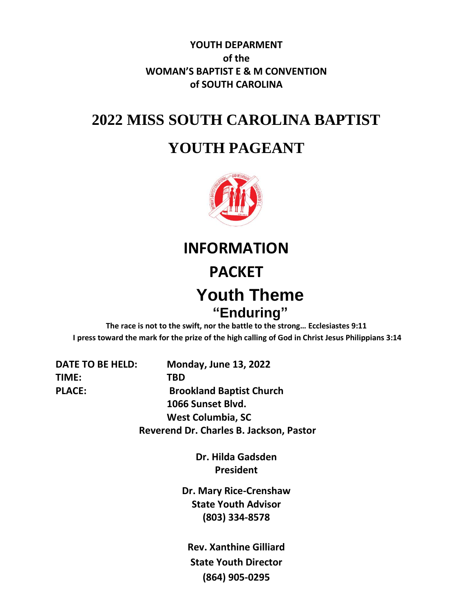**YOUTH DEPARMENT of the WOMAN'S BAPTIST E & M CONVENTION of SOUTH CAROLINA**

# **2022 MISS SOUTH CAROLINA BAPTIST**

# **YOUTH PAGEANT**



**INFORMATION**

### **PACKET**

# **Youth Theme "Enduring"**

**The race is not to the swift, nor the battle to the strong… Ecclesiastes 9:11 I press toward the mark for the prize of the high calling of God in Christ Jesus Philippians 3:14**

**TIME: TBD**

**DATE TO BE HELD: Monday, June 13, 2022 PLACE: Brookland Baptist Church 1066 Sunset Blvd. West Columbia, SC Reverend Dr. Charles B. Jackson, Pastor**

> **Dr. Hilda Gadsden President**

**Dr. Mary Rice-Crenshaw State Youth Advisor (803) 334-8578**

**Rev. Xanthine Gilliard State Youth Director (864) 905-0295**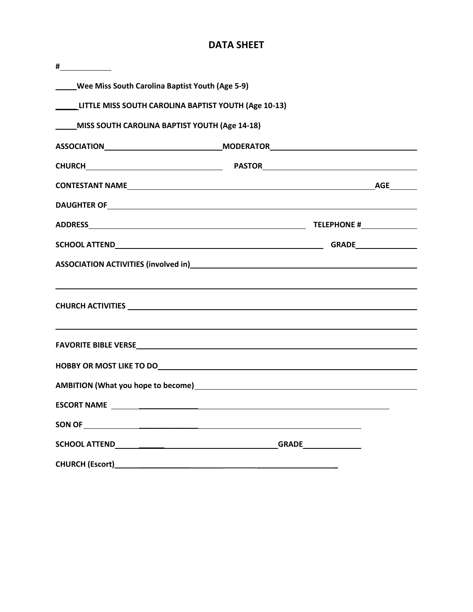#### **DATA SHEET**

| #                                                    |                                                                                                                                                                                                                                       |  |  |
|------------------------------------------------------|---------------------------------------------------------------------------------------------------------------------------------------------------------------------------------------------------------------------------------------|--|--|
| _____Wee Miss South Carolina Baptist Youth (Age 5-9) |                                                                                                                                                                                                                                       |  |  |
| LITTLE MISS SOUTH CAROLINA BAPTIST YOUTH (Age 10-13) |                                                                                                                                                                                                                                       |  |  |
| ____MISS SOUTH CAROLINA BAPTIST YOUTH (Age 14-18)    |                                                                                                                                                                                                                                       |  |  |
|                                                      | ASSOCIATION___________________________________MODERATOR__________________________                                                                                                                                                     |  |  |
|                                                      |                                                                                                                                                                                                                                       |  |  |
|                                                      |                                                                                                                                                                                                                                       |  |  |
|                                                      |                                                                                                                                                                                                                                       |  |  |
|                                                      |                                                                                                                                                                                                                                       |  |  |
|                                                      |                                                                                                                                                                                                                                       |  |  |
|                                                      | ASSOCIATION ACTIVITIES (involved in)<br><u> Land Communication (in the communication</u> of the control of the control of the control of the control of the control of the control of the control of the control of the control of th |  |  |
|                                                      | ,我们也不会有什么。""我们的人,我们也不会有什么?""我们的人,我们也不会有什么?""我们的人,我们也不会有什么?""我们的人,我们也不会有什么?""我们的人                                                                                                                                                      |  |  |
|                                                      |                                                                                                                                                                                                                                       |  |  |
|                                                      | HOBBY OR MOST LIKE TO DO UNITED ASSESSED AND THE STATE OF STATE AND THE STATE OF STATE OF STATE OF STATE OF ST                                                                                                                        |  |  |
|                                                      |                                                                                                                                                                                                                                       |  |  |
|                                                      |                                                                                                                                                                                                                                       |  |  |
|                                                      |                                                                                                                                                                                                                                       |  |  |
|                                                      |                                                                                                                                                                                                                                       |  |  |
|                                                      |                                                                                                                                                                                                                                       |  |  |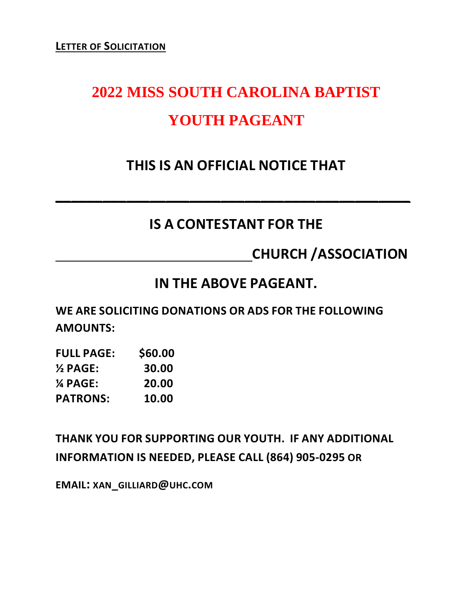# **2022 MISS SOUTH CAROLINA BAPTIST YOUTH PAGEANT**

# **THIS IS AN OFFICIAL NOTICE THAT**

# **IS A CONTESTANT FOR THE**

**\_\_\_\_\_\_\_\_\_\_\_\_\_\_\_\_\_\_\_\_\_\_\_\_\_\_\_\_\_\_\_\_\_\_\_\_\_\_\_\_\_\_\_\_\_**

 **CHURCH /ASSOCIATION**

## **IN THE ABOVE PAGEANT.**

**WE ARE SOLICITING DONATIONS OR ADS FOR THE FOLLOWING AMOUNTS:**

| <b>FULL PAGE:</b>   | \$60.00 |
|---------------------|---------|
| $\frac{1}{2}$ PAGE: | 30.00   |
| $\%$ PAGE:          | 20.00   |
| <b>PATRONS:</b>     | 10.00   |

**THANK YOU FOR SUPPORTING OUR YOUTH. IF ANY ADDITIONAL INFORMATION IS NEEDED, PLEASE CALL (864) 905-0295 OR** 

**EMAIL: XAN\_GILLIARD@UHC.COM**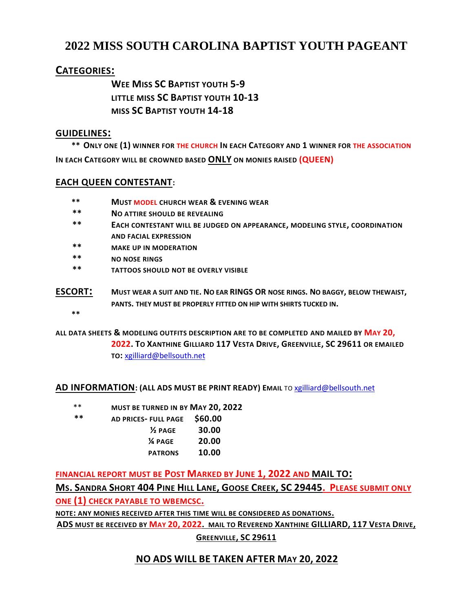#### **2022 MISS SOUTH CAROLINA BAPTIST YOUTH PAGEANT**

#### **CATEGORIES:**

**WEE MISS SC BAPTIST YOUTH 5-9 LITTLE MISS SC BAPTIST YOUTH 10-13 MISS SC BAPTIST YOUTH 14-18**

#### **GUIDELINES:**

 **\*\* ONLY ONE (1) WINNER FOR THE CHURCH IN EACH CATEGORY AND 1 WINNER FOR THE ASSOCIATION IN EACH CATEGORY WILL BE CROWNED BASED ONLY ON MONIES RAISED (QUEEN)**

#### **EACH QUEEN CONTESTANT:**

- **\*\* MUST MODEL CHURCH WEAR & EVENING WEAR**
- **\*\* NO ATTIRE SHOULD BE REVEALING**
- **\*\* EACH CONTESTANT WILL BE JUDGED ON APPEARANCE, MODELING STYLE, COORDINATION AND FACIAL EXPRESSION**
- **\*\* MAKE UP IN MODERATION**
- **\*\* NO NOSE RINGS**
- **\*\* TATTOOS SHOULD NOT BE OVERLY VISIBLE**
- **ESCORT: <sup>M</sup>UST WEAR A SUIT AND TIE. NO EAR RINGS OR NOSE RINGS. NO BAGGY, BELOW THEWAIST, PANTS. THEY MUST BE PROPERLY FITTED ON HIP WITH SHIRTS TUCKED IN.**

 **\*\***

**ALL DATA SHEETS & MODELING OUTFITS DESCRIPTION ARE TO BE COMPLETED AND MAILED BY MAY 20, 2022. TO XANTHINE GILLIARD 117 VESTA DRIVE, GREENVILLE, SC 29611 OR EMAILED** 

**TO:** [xgilliard@bellsouth.net](mailto:xgilliard@bellsouth.net)

**AD INFORMATION: (ALL ADS MUST BE PRINT READY) EMAIL** TO [xgilliard@bellsouth.net](mailto:xgilliard@bellsouth.net)

- \*\* **MUST BE TURNED IN BY MAY 20, 2022**
- **\*\* AD PRICES- FULL PAGE \$60.00**
	- **½ PAGE 30.00 ¼ PAGE 20.00 PATRONS 10.00**

**FINANCIAL REPORT MUST BE POST MARKED BY JUNE 1, 2022 AND MAIL TO:**

MS. SANDRA SHORT 404 PINE HILL LANE, GOOSE CREEK, SC 29445. PLEASE SUBMIT ONLY **ONE (1) CHECK PAYABLE TO WBEMCSC.**

**NOTE: ANY MONIES RECEIVED AFTER THIS TIME WILL BE CONSIDERED AS DONATIONS.**

**ADS MUST BE RECEIVED BY MAY 20, 2022. MAIL TO REVEREND XANTHINE GILLIARD, 117 VESTA DRIVE,**

**GREENVILLE, SC 29611** 

#### **NO ADS WILL BE TAKEN AFTER MAY 20, 2022**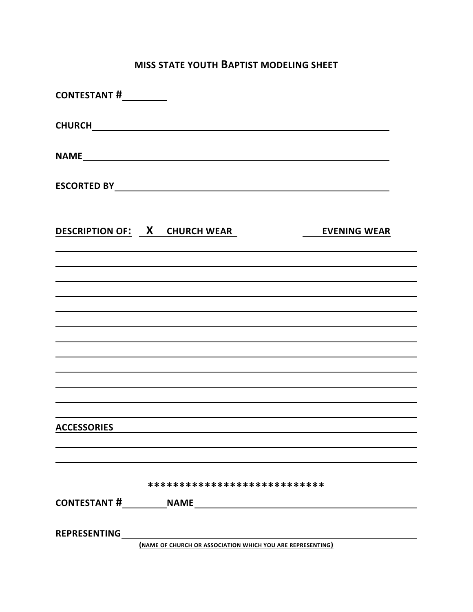#### **MISS STATE YOUTH BAPTIST MODELING SHEET**

| CONTESTANT #__________ |                                                             |
|------------------------|-------------------------------------------------------------|
|                        |                                                             |
|                        |                                                             |
|                        |                                                             |
|                        | <b>DESCRIPTION OF: X CHURCH WEAR</b><br><b>EVENING WEAR</b> |
|                        |                                                             |
|                        |                                                             |
|                        |                                                             |
|                        |                                                             |
|                        |                                                             |
| <b>ACCESSORIES</b>     |                                                             |
|                        |                                                             |
|                        | ****************************                                |
|                        |                                                             |
| <b>REPRESENTING</b>    | (NAME OF CHURCH OR ASSOCIATION WHICH YOU ARE REPRESENTING)  |
|                        |                                                             |